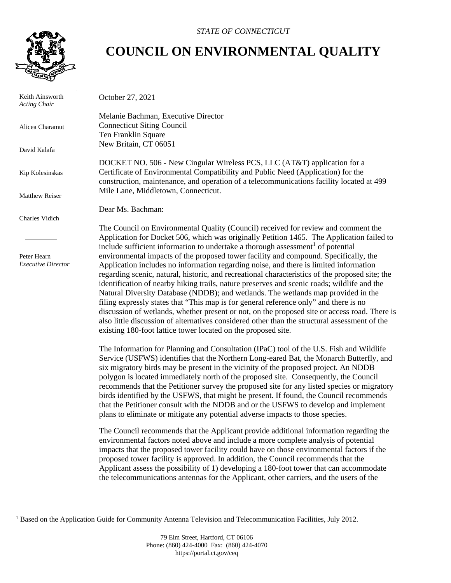

 Keith Ainsworth *Acting Chair*

Alicea Charamut

David Kalafa

Kip Kolesinskas

Matthew Reiser

Charles Vidich

 Peter Hearn *Executive Director*

## *STATE OF CONNECTICUT*

## **COUNCIL ON ENVIRONMENTAL QUALITY**

October 27, 2021

Melanie Bachman, Executive Director Connecticut Siting Council Ten Franklin Square New Britain, CT 06051

DOCKET NO. 506 - New Cingular Wireless PCS, LLC (AT&T) application for a Certificate of Environmental Compatibility and Public Need (Application) for the construction, maintenance, and operation of a telecommunications facility located at 499 Mile Lane, Middletown, Connecticut.

Dear Ms. Bachman:

The Council on Environmental Quality (Council) received for review and comment the Application for Docket 506, which was originally Petition 1465. The Application failed to include sufficient information to undertake a thorough assessment<sup>[1](#page-0-0)</sup> of potential environmental impacts of the proposed tower facility and compound. Specifically, the Application includes no information regarding noise, and there is limited information regarding scenic, natural, historic, and recreational characteristics of the proposed site; the identification of nearby hiking trails, nature preserves and scenic roads; wildlife and the Natural Diversity Database (NDDB); and wetlands. The wetlands map provided in the filing expressly states that "This map is for general reference only" and there is no discussion of wetlands, whether present or not, on the proposed site or access road. There is also little discussion of alternatives considered other than the structural assessment of the existing 180-foot lattice tower located on the proposed site.

The Information for Planning and Consultation (IPaC) tool of the U.S. Fish and Wildlife Service (USFWS) identifies that the Northern Long-eared Bat, the Monarch Butterfly, and six migratory birds may be present in the vicinity of the proposed project. An NDDB polygon is located immediately north of the proposed site. Consequently, the Council recommends that the Petitioner survey the proposed site for any listed species or migratory birds identified by the USFWS, that might be present. If found, the Council recommends that the Petitioner consult with the NDDB and or the USFWS to develop and implement plans to eliminate or mitigate any potential adverse impacts to those species.

The Council recommends that the Applicant provide additional information regarding the environmental factors noted above and include a more complete analysis of potential impacts that the proposed tower facility could have on those environmental factors if the proposed tower facility is approved. In addition, the Council recommends that the Applicant assess the possibility of 1) developing a 180-foot tower that can accommodate the telecommunications antennas for the Applicant, other carriers, and the users of the

<span id="page-0-0"></span><sup>&</sup>lt;sup>1</sup> Based on the Application Guide for Community Antenna Television and Telecommunication Facilities, July 2012.